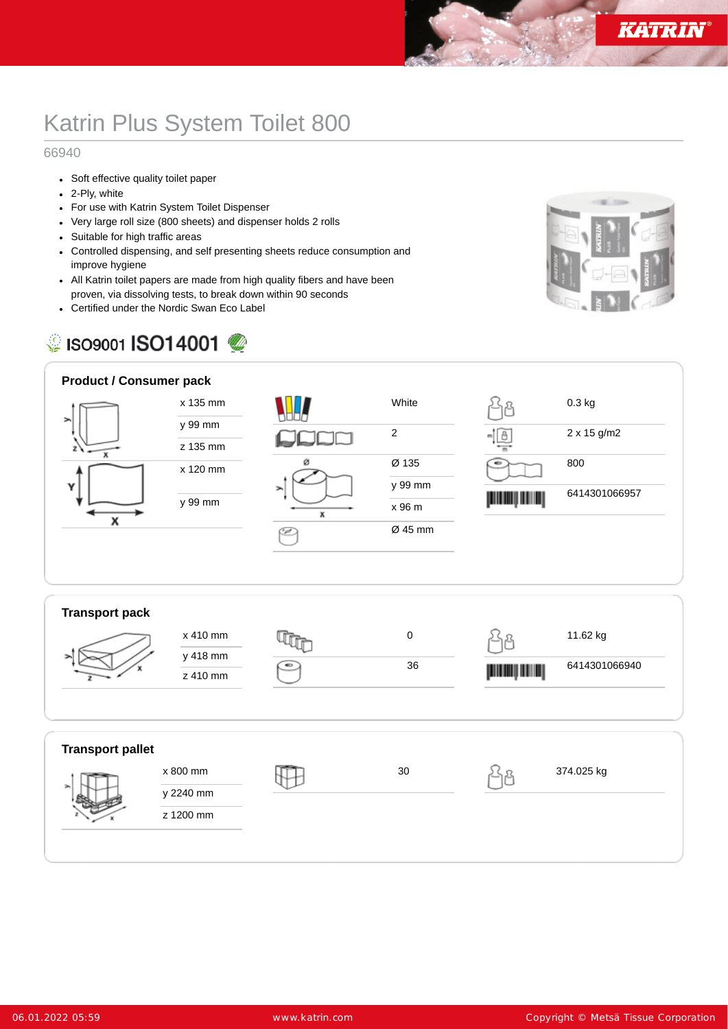## Katrin Plus System Toilet 800

## 66940

- Soft effective quality toilet paper
- 2-Ply, white
- For use with Katrin System Toilet Dispenser
- Very large roll size (800 sheets) and dispenser holds 2 rolls
- Suitable for high traffic areas
- Controlled dispensing, and self presenting sheets reduce consumption and improve hygiene
- All Katrin toilet papers are made from high quality fibers and have been proven, via dissolving tests, to break down within 90 seconds
- Certified under the Nordic Swan Eco Label

## C ISO9001 ISO14001